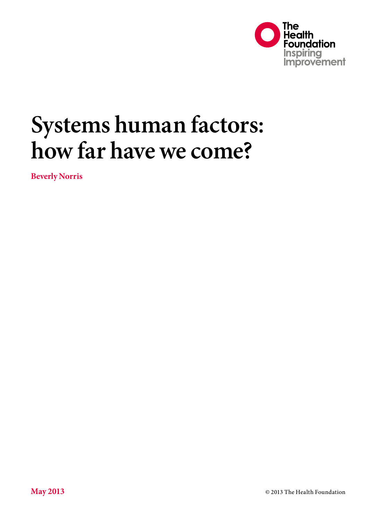

# **Systems human factors: how far have we come?**

**Beverly Norris**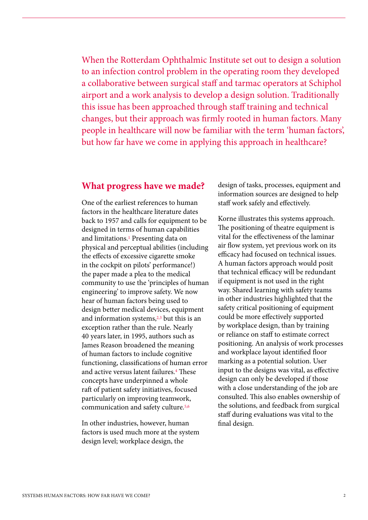When the Rotterdam Ophthalmic Institute set out to design a solution to an infection control problem in the operating room they developed a collaborative between surgical staff and tarmac operators at Schiphol airport and a work analysis to develop a design solution. Traditionally this issue has been approached through staff training and technical changes, but their approach was firmly rooted in human factors. Many people in healthcare will now be familiar with the term 'human factors', but how far have we come in applying this approach in healthcare?

#### **What progress have we made?**

One of the earliest references to human factors in the healthcare literature dates back to 1957 and calls for equipment to be designed in terms of human capabilities and limitations.1 Presenting data on physical and perceptual abilities (including the effects of excessive cigarette smoke in the cockpit on pilots' performance!) the paper made a plea to the medical community to use the 'principles of human engineering' to improve safety. We now hear of human factors being used to design better medical devices, equipment and information systems,<sup>2,3</sup> but this is an exception rather than the rule. Nearly 40 years later, in 1995, authors such as James Reason broadened the meaning of human factors to include cognitive functioning, classifications of human error and active versus latent failures.4 These concepts have underpinned a whole raft of patient safety initiatives, focused particularly on improving teamwork, communication and safety culture.5,6

In other industries, however, human factors is used much more at the system design level; workplace design, the

design of tasks, processes, equipment and information sources are designed to help staff work safely and effectively.

Korne illustrates this systems approach. The positioning of theatre equipment is vital for the effectiveness of the laminar air flow system, yet previous work on its efficacy had focused on technical issues. A human factors approach would posit that technical efficacy will be redundant if equipment is not used in the right way. Shared learning with safety teams in other industries highlighted that the safety critical positioning of equipment could be more effectively supported by workplace design, than by training or reliance on staff to estimate correct positioning. An analysis of work processes and workplace layout identified floor marking as a potential solution. User input to the designs was vital, as effective design can only be developed if those with a close understanding of the job are consulted. This also enables ownership of the solutions, and feedback from surgical staff during evaluations was vital to the final design.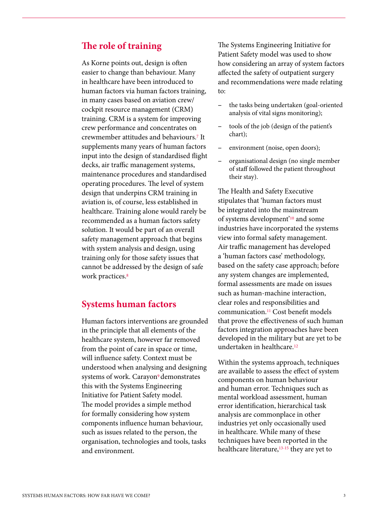### **The role of training**

As Korne points out, design is often easier to change than behaviour. Many in healthcare have been introduced to human factors via human factors training, in many cases based on aviation crew/ cockpit resource management (CRM) training. CRM is a system for improving crew performance and concentrates on crewmember attitudes and behaviours.7 It supplements many years of human factors input into the design of standardised flight decks, air traffic management systems, maintenance procedures and standardised operating procedures. The level of system design that underpins CRM training in aviation is, of course, less established in healthcare. Training alone would rarely be recommended as a human factors safety solution. It would be part of an overall safety management approach that begins with system analysis and design, using training only for those safety issues that cannot be addressed by the design of safe work practices.<sup>8</sup>

#### **Systems human factors**

Human factors interventions are grounded in the principle that all elements of the healthcare system, however far removed from the point of care in space or time, will influence safety. Context must be understood when analysing and designing systems of work. Carayon<sup>9</sup> demonstrates this with the Systems Engineering Initiative for Patient Safety model. The model provides a simple method for formally considering how system components influence human behaviour, such as issues related to the person, the organisation, technologies and tools, tasks and environment.

The Systems Engineering Initiative for Patient Safety model was used to show how considering an array of system factors affected the safety of outpatient surgery and recommendations were made relating to:

- − the tasks being undertaken (goal-oriented analysis of vital signs monitoring);
- − tools of the job (design of the patient's chart);
- environment (noise, open doors);
- − organisational design (no single member of staff followed the patient throughout their stay).

The Health and Safety Executive stipulates that 'human factors must be integrated into the mainstream of systems development'10 and some industries have incorporated the systems view into formal safety management. Air traffic management has developed a 'human factors case' methodology, based on the safety case approach; before any system changes are implemented, formal assessments are made on issues such as human-machine interaction, clear roles and responsibilities and communication.11 Cost benefit models that prove the effectiveness of such human factors integration approaches have been developed in the military but are yet to be undertaken in healthcare.12

Within the systems approach, techniques are available to assess the effect of system components on human behaviour and human error. Techniques such as mental workload assessment, human error identification, hierarchical task analysis are commonplace in other industries yet only occasionally used in healthcare. While many of these techniques have been reported in the healthcare literature,<sup>13-15</sup> they are yet to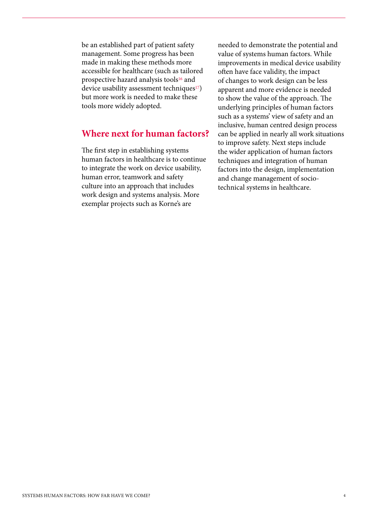be an established part of patient safety management. Some progress has been made in making these methods more accessible for healthcare (such as tailored prospective hazard analysis tools<sup>16</sup> and device usability assessment techniques<sup>17</sup>) but more work is needed to make these tools more widely adopted.

## **Where next for human factors?**

The first step in establishing systems human factors in healthcare is to continue to integrate the work on device usability, human error, teamwork and safety culture into an approach that includes work design and systems analysis. More exemplar projects such as Korne's are

needed to demonstrate the potential and value of systems human factors. While improvements in medical device usability often have face validity, the impact of changes to work design can be less apparent and more evidence is needed to show the value of the approach. The underlying principles of human factors such as a systems' view of safety and an inclusive, human centred design process can be applied in nearly all work situations to improve safety. Next steps include the wider application of human factors techniques and integration of human factors into the design, implementation and change management of sociotechnical systems in healthcare.